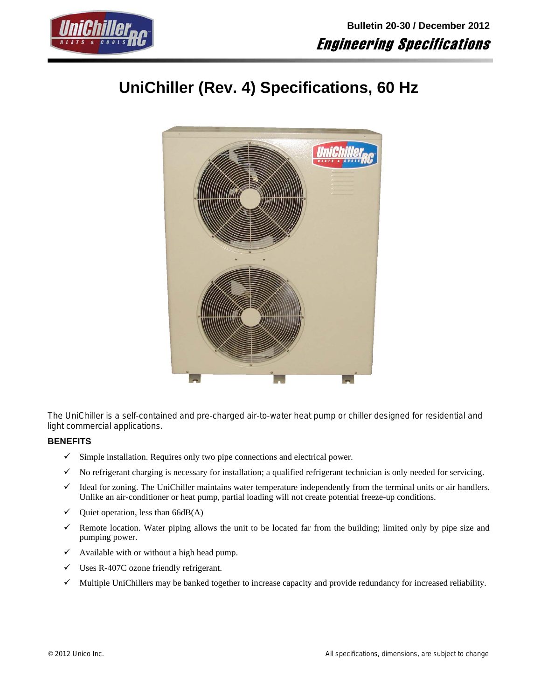

# **UniChiller (Rev. 4) Specifications, 60 Hz**



The UniChiller is a self-contained and pre-charged air-to-water heat pump or chiller designed for residential and light commercial applications.

# **BENEFITS**

- $\checkmark$  Simple installation. Requires only two pipe connections and electrical power.
- $\checkmark$  No refrigerant charging is necessary for installation; a qualified refrigerant technician is only needed for servicing.
- $\checkmark$  Ideal for zoning. The UniChiller maintains water temperature independently from the terminal units or air handlers. Unlike an air-conditioner or heat pump, partial loading will not create potential freeze-up conditions.
- $\checkmark$  Quiet operation, less than 66dB(A)
- Remote location. Water piping allows the unit to be located far from the building; limited only by pipe size and pumping power.
- $\checkmark$  Available with or without a high head pump.
- $\checkmark$  Uses R-407C ozone friendly refrigerant.
- $\checkmark$  Multiple UniChillers may be banked together to increase capacity and provide redundancy for increased reliability.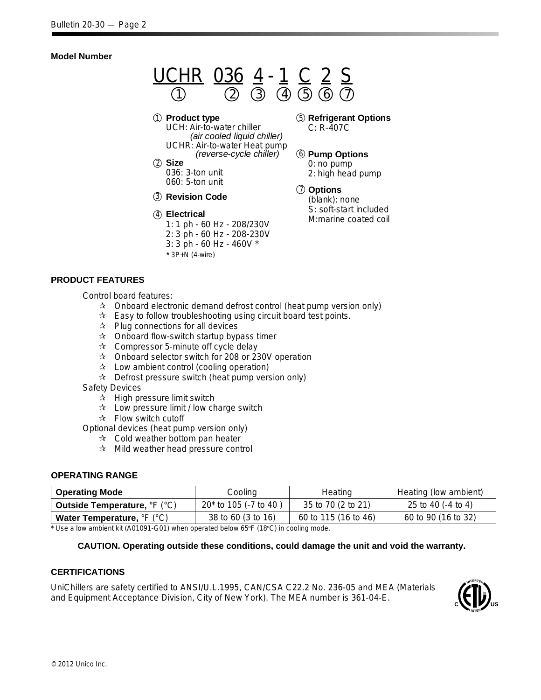# **Model Number**



UCH: Air-to-water chiller *(air cooled liquid chiller)* UCHR: Air-to-water Heat pump *(reverse-cycle chiller)*

**Size** 2 036: 3-ton unit 060: 5-ton unit

**Revision Code** 3

- **Electrical** 4 1: 1 ph - 60 Hz - 208/230V 2: 3 ph - 60 Hz - 208-230V 3: 3 ph - 60 Hz - 460V \*
	- **\*** 3P+N (4-wire)

## **Refrigerant Options** 5 C: R-407C

# **Pump Options** 6

0: no pump 2: high head pump

**Options** 7 (blank): none S: soft-start included M:marine coated coil

# **PRODUCT FEATURES**

Control board features:

- $\hat{x}$  Onboard electronic demand defrost control (heat pump version only)
- $\hat{x}$  Easy to follow troubleshooting using circuit board test points.
- $\mathbf{\hat{x}}$  Plug connections for all devices
- $\mathbf{\hat{x}}$  Onboard flow-switch startup bypass timer
- $\mathbf{\hat{x}}$  Compressor 5-minute off cycle delay
- $\approx$  Onboard selector switch for 208 or 230V operation
- $\mathbf{\hat{x}}$  Low ambient control (cooling operation)
- $\hat{x}$  Defrost pressure switch (heat pump version only)
- Safety Devices
	- $\mathbf{\hat{x}}$  High pressure limit switch
	- $\mathbf{\hat{x}}$  Low pressure limit / low charge switch
	- $\mathbf{\hat{x}}$  Flow switch cutoff

Optional devices (heat pump version only)

- $\mathbf{\hat{x}}$  Cold weather bottom pan heater
- $\mathbf{\hat{x}}$  Mild weather head pressure control

# **OPERATING RANGE**

| <b>Operating Mode</b>               | Cooling                 | Heating              | Heating (low ambient) |
|-------------------------------------|-------------------------|----------------------|-----------------------|
| <b>Outside Temperature, °F (°C)</b> | $20*$ to 105 (-7 to 40) | 35 to 70 (2 to 21)   | 25 to 40 (-4 to 4)    |
| Water Temperature, °F (°C)          | 38 to 60 (3 to 16)      | 60 to 115 (16 to 46) | 60 to 90 (16 to 32)   |

\* Use a low ambient kit (A01091-G01) when operated below 65ºF (18ºC) in cooling mode.

# **CAUTION. Operating outside these conditions, could damage the unit and void the warranty.**

# **CERTIFICATIONS**

UniChillers are safety certified to ANSI/U.L.1995, CAN/CSA C22.2 No. 236-05 and MEA (Materials and Equipment Acceptance Division, City of New York). The MEA number is 361-04-E.

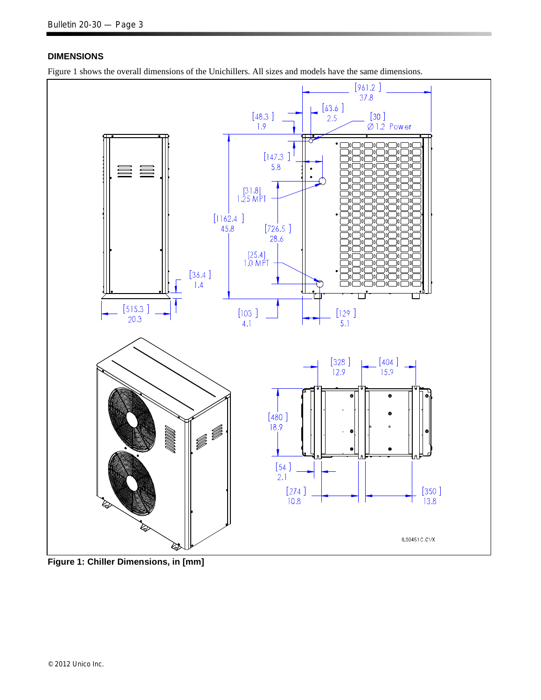# **DIMENSIONS**

Figure 1 shows the overall dimensions of the Unichillers. All sizes and models have the same dimensions.



**Figure 1: Chiller Dimensions, in [mm]**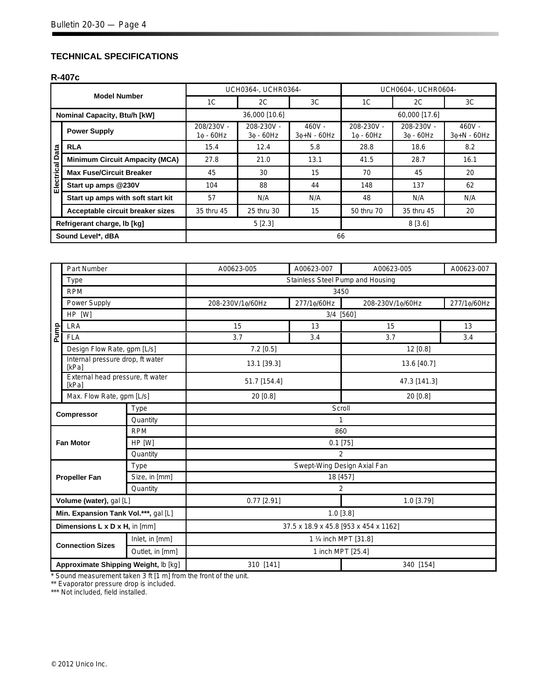# **TECHNICAL SPECIFICATIONS**

## **R-407c**

|                 | <b>Model Number</b>                   |                               | UCH0364-, UCHR0364-           |                              | UCH0604-, UCHR0604-            |                                     |                              |  |  |
|-----------------|---------------------------------------|-------------------------------|-------------------------------|------------------------------|--------------------------------|-------------------------------------|------------------------------|--|--|
|                 |                                       | 1 <sup>C</sup>                | 2C                            | 3C                           | 1C                             | 2C                                  | 3C                           |  |  |
|                 | Nominal Capacity, Btu/h [kW]          |                               | 36,000 [10.6]                 |                              |                                | 60,000 [17.6]                       |                              |  |  |
|                 | <b>Power Supply</b>                   | 208/230V -<br>$1\phi - 60$ Hz | 208-230V -<br>$3\phi - 60$ Hz | $460V -$<br>$30 + N - 60$ Hz | 208-230V -<br>1¢ - 60Hz        | 208-230V -<br>$3\phi - 60$ Hz       | $460V -$<br>$30 + N - 60$ Hz |  |  |
|                 | <b>RLA</b>                            | 15.4                          | 12.4                          | 5.8                          | 28.8                           | 8.2<br>18.6<br>16.1<br>28.7         |                              |  |  |
|                 | <b>Minimum Circuit Ampacity (MCA)</b> | 27.8                          | 21.0                          | 13.1                         | 41.5                           |                                     |                              |  |  |
| Electrical Data | <b>Max Fuse/Circuit Breaker</b>       | 45                            | 30                            | 15                           | 70                             | 45<br>20<br>137<br>62<br>N/A<br>N/A |                              |  |  |
|                 | Start up amps @230V                   | 104                           | 88                            | 44                           | 148                            |                                     |                              |  |  |
|                 | Start up amps with soft start kit     | 57                            | N/A                           | N/A                          | 48                             |                                     |                              |  |  |
|                 | Acceptable circuit breaker sizes      | 35 thru 45                    | 25 thru 30                    | 15                           | 50 thru 70<br>35 thru 45<br>20 |                                     |                              |  |  |
|                 | Refrigerant charge, lb [kg]           |                               | 5[2.3]                        |                              | 8[3.6]                         |                                     |                              |  |  |
|                 | Sound Level*, dBA                     |                               |                               | 66                           |                                |                                     |                              |  |  |

|      | Part Number                               |                 | A00623-005                            | A00623-007                                                                                                                                                                   | A00623-005                              | A00623-007  |  |  |  |  |  |  |  |  |
|------|-------------------------------------------|-----------------|---------------------------------------|------------------------------------------------------------------------------------------------------------------------------------------------------------------------------|-----------------------------------------|-------------|--|--|--|--|--|--|--|--|
|      | Type                                      |                 |                                       |                                                                                                                                                                              | Stainless Steel Pump and Housing        |             |  |  |  |  |  |  |  |  |
|      | <b>RPM</b>                                |                 |                                       |                                                                                                                                                                              | 3450                                    |             |  |  |  |  |  |  |  |  |
|      | Power Supply                              |                 | 208-230V/1¢/60Hz                      | 277/1¢/60Hz                                                                                                                                                                  | 208-230V/1¢/60Hz                        | 277/1¢/60Hz |  |  |  |  |  |  |  |  |
|      | HP [W]                                    |                 |                                       |                                                                                                                                                                              |                                         |             |  |  |  |  |  |  |  |  |
|      | <b>LRA</b>                                |                 | 15                                    | 13                                                                                                                                                                           | 15                                      | 13          |  |  |  |  |  |  |  |  |
| Pump | <b>FLA</b>                                |                 | 3.7                                   | 3.4                                                                                                                                                                          | 3.7                                     | 3.4         |  |  |  |  |  |  |  |  |
|      | Design Flow Rate, gpm [L/s]               |                 | 7.2 [0.5]                             |                                                                                                                                                                              | 12 [0.8]                                |             |  |  |  |  |  |  |  |  |
|      | Internal pressure drop, ft water<br>[kPa] |                 | 13.1 [39.3]                           |                                                                                                                                                                              | 13.6 [40.7]<br>47.3 [141.3]<br>20 [0.8] |             |  |  |  |  |  |  |  |  |
|      | External head pressure, ft water<br>[kPa] |                 | 51.7 [154.4]                          |                                                                                                                                                                              |                                         |             |  |  |  |  |  |  |  |  |
|      | Max. Flow Rate, gpm [L/s]                 |                 | 20 [0.8]                              |                                                                                                                                                                              |                                         |             |  |  |  |  |  |  |  |  |
|      |                                           | Type            |                                       | 3/4 [560]<br>Scroll<br>$\mathbf{1}$<br>860<br>$0.1$ [75]<br>2<br>Swept-Wing Design Axial Fan<br>18 [457]<br>$\overline{2}$<br>$0.77$ [2.91]<br>1.0 [3.79]<br>$1.0$ [ $3.8$ ] |                                         |             |  |  |  |  |  |  |  |  |
|      | <b>Compressor</b>                         | Quantity        |                                       |                                                                                                                                                                              |                                         |             |  |  |  |  |  |  |  |  |
|      |                                           | <b>RPM</b>      |                                       |                                                                                                                                                                              |                                         |             |  |  |  |  |  |  |  |  |
|      | <b>Fan Motor</b>                          | HP [W]          |                                       |                                                                                                                                                                              |                                         |             |  |  |  |  |  |  |  |  |
|      |                                           | Quantity        |                                       |                                                                                                                                                                              |                                         |             |  |  |  |  |  |  |  |  |
|      |                                           | Type            |                                       |                                                                                                                                                                              |                                         |             |  |  |  |  |  |  |  |  |
|      | <b>Propeller Fan</b>                      | Size, in [mm]   |                                       |                                                                                                                                                                              |                                         |             |  |  |  |  |  |  |  |  |
|      |                                           | Quantity        |                                       |                                                                                                                                                                              |                                         |             |  |  |  |  |  |  |  |  |
|      | Volume (water), gal [L]                   |                 |                                       |                                                                                                                                                                              |                                         |             |  |  |  |  |  |  |  |  |
|      | Min. Expansion Tank Vol.***, gal [L]      |                 |                                       |                                                                                                                                                                              |                                         |             |  |  |  |  |  |  |  |  |
|      | Dimensions L x D x H, in [mm]             |                 | 37.5 x 18.9 x 45.8 [953 x 454 x 1162] |                                                                                                                                                                              |                                         |             |  |  |  |  |  |  |  |  |
|      |                                           | Inlet, in [mm]  | 1 1/4 inch MPT [31.8]                 |                                                                                                                                                                              |                                         |             |  |  |  |  |  |  |  |  |
|      | <b>Connection Sizes</b>                   | Outlet, in [mm] | 1 inch MPT [25.4]                     |                                                                                                                                                                              |                                         |             |  |  |  |  |  |  |  |  |
|      | Approximate Shipping Weight, lb [kg]      |                 | 310 [141]                             |                                                                                                                                                                              | 340 [154]                               |             |  |  |  |  |  |  |  |  |

\* Sound measurement taken 3 ft [1 m] from the front of the unit.

\*\* Evaporator pressure drop is included.

\*\*\* Not included, field installed.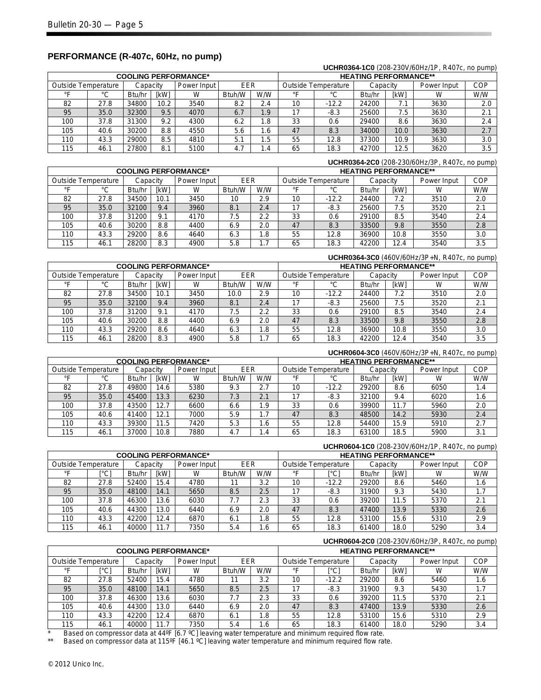|                                            |      |          |             |                             |        |      |                              |                            |          |             | <b>UUI II WUUT-TUU (200 200 V/00FIZ/TE, TVTO/ 0, TIO DUITID/</b> |     |  |  |
|--------------------------------------------|------|----------|-------------|-----------------------------|--------|------|------------------------------|----------------------------|----------|-------------|------------------------------------------------------------------|-----|--|--|
|                                            |      |          |             | <b>COOLING PERFORMANCE*</b> |        |      | <b>HEATING PERFORMANCE**</b> |                            |          |             |                                                                  |     |  |  |
| Outside Temperature                        |      | Capacitv |             | Power Input                 | EER    |      |                              | <b>Outside Temperature</b> | Capacity |             | Power Input                                                      | COP |  |  |
| $\circ$                                    | °C   | Btu/hr   | <b>IkWI</b> | W                           | Btuh/W | W/W  |                              | °C                         | Btu/hr   | <b>IkWI</b> | W                                                                | W/W |  |  |
| 82                                         | 27.8 | 34800    | 10.2        | 3540                        | 8.2    | 2.4  | 10                           | $-12.2$                    | 24200    | 7.1         | 3630                                                             | 2.0 |  |  |
| 95                                         | 35.0 | 32300    | 9.5         | 4070                        | 6.7    | 1.9  |                              | $-8.3$                     | 25600    | 7.5         | 3630                                                             | 2.1 |  |  |
| 100                                        | 37.8 | 31300    | 9.2         | 4300                        | 6.2    | .8   | 33                           | 0.6                        | 29400    | 8.6         | 3630                                                             | 2.4 |  |  |
| 105                                        | 40.6 | 30200    | 8.8         | 4550                        | 5.6    | 1.6  | 47                           | 8.3                        | 34000    | 10.0        | 3630                                                             | 2.7 |  |  |
| 110                                        | 43.3 | 29000    | 8.5         | 4810                        | 5.1    | 5.،  | 55                           | 12.8                       | 37300    | 10.9        | 3630                                                             | 3.0 |  |  |
| 115<br>27800<br>5100<br>4.7<br>46.1<br>8.1 |      |          |             | . .4                        | 65     | 18.3 | 42700                        | 12.5                       | 3620     | 3.5         |                                                                  |     |  |  |

## **PERFORMANCE (R-407c, 60Hz, no pump)**

# **UCHR0364-2C0** (208-230/60Hz/3P, R407c, no pump) **COOLING PERFORMANCE\***<br>
Cutside Temperature | Capacity | Power Input | FER | Qutside Temperature | Capacity | Power Input | COP **Outside Temperature**

**UCHR0364-1C0** (208-230V/60Hz/1P, R407c, no pump)

| <b>Outbig Tonipolatulo</b> |             | upuun  |             | $0.0001$ $0.0001$ | ----   |      |         | <b>Patolac</b> Tomporature | <b>UUPUUI</b> |             | <b>UWUI IIIPUL</b> |     |
|----------------------------|-------------|--------|-------------|-------------------|--------|------|---------|----------------------------|---------------|-------------|--------------------|-----|
| $\circ$                    | $\sim$<br>ັ | Btu/hr | <b>IkWI</b> | W                 | Btuh/W | W/W  | $\circ$ | $\sim$<br>◡                | Btu/hr        | <b>IkWI</b> | W                  | W/W |
| 82                         | 27.8        | 34500  | 10.1        | 3450              | 10     | 2.9  | 10      | $-12.2$                    | 24400         | 7.2         | 3510               | 2.0 |
| 95                         | 35.0        | 32100  | 9.4         | 3960              | 8.1    | 2.4  |         | $-8.3$                     | 25600         | 7.5         | 3520               | 2.1 |
| 100                        | 37.8        | 31200  | 9.1         | 4170              | 7.5    | 2.2  | 33      | 0.6                        | 29100         | 8.5         | 3540               | 2.4 |
| 105                        | 40.6        | 30200  | 8.8         | 4400              | 6.9    | 2.0  | 47      | 8.3                        | 33500         | 9.8         | 3550               | 2.8 |
| 110                        | 43.3        | 29200  | 8.6         | 4640              | 6.3    | 1.8  | 55      | 12.8                       | 36900         | 10.8        | 3550               | 3.0 |
| 115                        | 46.1        | 28200  | 8.3         | 4900              | 5.8    | ı. 1 | 65      | 18.3                       | 42200         | 12.4        | 3540               | 3.5 |

#### **UCHR0364-3C0** (460V/60Hz/3P+N, R407c, no pump) **COOLING PERFORMANCE\* HEATING PERFORMANCE\*\*** Outside Temperature | Capacity | Power Input | EER | Outside Temperature | Capacity | Power Input | COP °F | °C |Btu/hr|[kW] | W |Btuh/W | W/W | °F | °C |Btu/hr|[kW] | W | W/W 82 | 27.8 |34500 | 10.1 | 3450 | 10.0 | 2.9 | 10 | -12.2 | 24400 | 7.2 | 3510 | 2.0 95 | 35.0 |32100 | 9.4 | 3960 | 8.1 | 2.4 | 17 | -8.3 | 25600 | 7.5 | 3520 | 2.1 100 | 37.8 |31200 | 9.1 | 4170 | 7.5 | 2.2 | 33 | 0.6 | 29100 | 8.5 | 3540 | 2.4 105 | 40.6 |30200 | 8.8 | 4400 | 6.9 | 2.0 | 47 | 8.3 | 33500 | 9.8 | 3550 | 2.8 110 | 43.3 |29200 | 8.6 | 4640 | 6.3 | 1.8 | 55 | 12.8 | 36900 | 10.8 | 3550 | 3.0 115 | 46.1 |28200 | 8.3 | 4900 | 5.8 | 1.7 | 65 | 18.3 |42200 | 12.4 | 3540 | 3.5

#### **UCHR0604-3C0** (460V/60Hz/3P+N, R407c, no pump) **COOLING PERFORMANCE\***<br> **COOLING PERFORMANCE\*** The Capacity Theory of Termino Performance and Capacity Theory Power Input<br> **CAPACITY** Capacity Theory Capacity Theory Power Input Capacity Power Input EER Outside Temperature Capacity Power Input COP °F | °C |Btu/hr|[kW] | W |Btuh/W | W/W | °F | °C |Btu/hr|[kW] | W | W/W 82 | 27.8 |49800 | 14.6 | 5380 | 9.3 | 2.7 | 10 | -12.2 | 29200 | 8.6 | 6050 | 1.4 95 | 35.0 |45400 | 13.3 | 6230 | 7.3 | 2.1 | 17 | -8.3 | 32100 | 9.4 | 6020 | 1.6 100 | 37.8 |43500 | 12.7 | 6600 | 6.6 | 1.9 | 33 | 0.6 | 39900 | 11.7 | 5960 | 2.0 105 | 40.6 |41400 | 12.1 | 7000 | 5.9 | 1.7 | 47 | 8.3 | 48500 | 14.2 | 5930 | 2.4 110 | 43.3 |39300 | 11.5 | 7420 | 5.3 | 1.6 | 55 | 12.8 | 54400 | 15.9 | 5910 | 2.7 115 | 46.1 |37000 | 10.8 | 7880 | 4.7 | 1.4 | 65 | 18.3 | 63100 | 18.5 | 5900 | 3.1

#### **UCHR0604-1C0** (208-230V/60Hz/1P, R407c, no pump) **COOLING PERFORMANCE\* HEATING PERFORMANCE\*\*** Outside Temperature | Capacity | Power Input | EER | Outside Temperature | Capacity | Power Input | COP °F | [°C] |Btu/hr | [kW] | W | Btuh/W | WW | °F | [°C] | Btu/hr | [kW] | W | W/W 82 | 27.8 |52400 | 15.4 | 4780 | 11 | 3.2 | 10 | -12.2 | 29200 | 8.6 | 5460 | 1.6 95 | 35.0 |48100 | 14.1 | 5650 | 8.5 | 2.5 | 17 | -8.3 | 31900 | 9.3 | 5430 | 1.7 100 | 37.8 |46300 | 13.6 | 6030 | 7.7 | 2.3 | 33 | 0.6 | 39200 | 11.5 | 5370 | 2.1 105 | 40.6 |44300 | 13.0 | 6440 | 6.9 | 2.0 | 47 | 8.3 | 47400 | 13.9 | 5330 | 2.6 110 | 43.3 |42200|12.4 | 6870 | 6.1 | 1.8 | 55 | 12.8 | 53100 | 15.6 | 5310 | 2.9

115 | 46.1 |40000 | 11.7 | 7350 | 5.4 | 1.6 | 65 | 18.3 | 61400 | 18.0 | 5290 | 3.4

#### **UCHR0604-2C0** (208-230V/60Hz/3P, R407c, no pump) **COOLING PERFORMANCE\* HEATING PERFORMANCE\*\*** Outside Temperature | Capacity | Power Input | EER | Outside Temperature | Capacity | Power Input | COP °F | [°C] |Btu/hr|[kW] | W |Btuh/W | W/W | °F | [°C] |Btu/hr | [kW] | W | W/W 82 | 27.8 |52400 | 15.4 | 4780 | 11 | 3.2 | 10 | -12.2 | 29200 | 8.6 | 5460 | 1.6 95 | 35.0 |48100 | 14.1 | 5650 | 8.5 | 2.5 | 17 | -8.3 | 31900 | 9.3 | 5430 | 1.7 100 | 37.8 |46300 | 13.6 | 6030 | 7.7 | 2.3 | 33 | 0.6 | 39200 | 11.5 | 5370 | 2.1 105 | 40.6 |44300 | 13.0 | 6440 | 6.9 | 2.0 | 47 | 8.3 | 47400 | 13.9 | 5330 | 2.6 110 | 43.3 |42200|12.4 | 6870 | 6.1 | 1.8 | 55 | 12.8 | 53100 | 15.6 | 5310 | 2.9 115 | 46.1 |40000 | 11.7 | 7350 | 5.4 | 1.6 | 65 | 18.3 | 61400 | 18.0 | 5290 | 3.4

Based on compressor data at 44ºF [6.7 °C] leaving water temperature and minimum required flow rate.

Based on compressor data at 115ºF [46.1 °C] leaving water temperature and minimum required flow rate.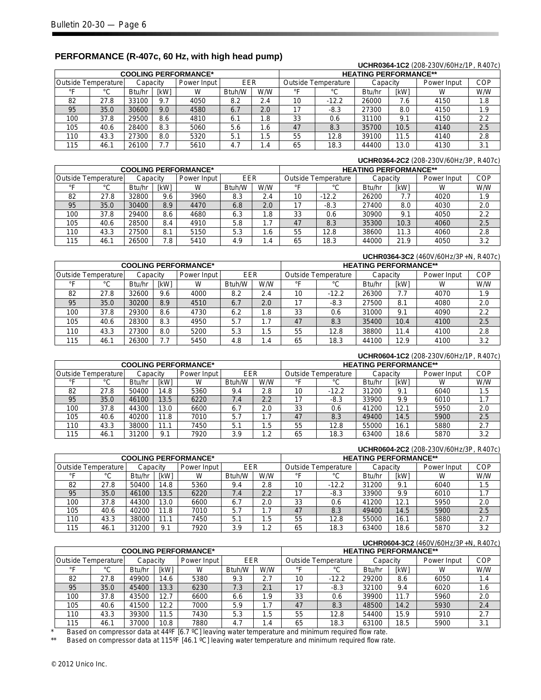|     |                                                       |        |             |                             |        |     |                                                       |         |        |      | UCHR0364-1C2 (208-230V/60Hz/1P, R407c) |            |
|-----|-------------------------------------------------------|--------|-------------|-----------------------------|--------|-----|-------------------------------------------------------|---------|--------|------|----------------------------------------|------------|
|     |                                                       |        |             | <b>COOLING PERFORMANCE*</b> |        |     | <b>HEATING PERFORMANCE**</b>                          |         |        |      |                                        |            |
|     | EER<br>Outside Temperature<br>Power Input<br>Capacity |        |             |                             |        |     | <b>Outside Temperature</b><br>Power Input<br>Capacity |         |        |      |                                        | <b>COP</b> |
| ∘⊏  | °C                                                    | Btu/hr | <b>IKWI</b> | W                           | Btuh/W | W/W | ∘⊏                                                    | °C      | Btu/hr | [kW] | W                                      | W/W        |
| 82  | 27.8                                                  | 33100  | 9.7         | 4050                        | 8.2    | 2.4 | 10                                                    | $-12.2$ | 26000  | 7.6  | 4150                                   | 1.8        |
| 95  | 35.0                                                  | 30600  | 9.0         | 4580                        | 6.7    | 2.0 | 17                                                    | $-8.3$  | 27300  | 8.0  | 4150                                   | 1.9        |
| 100 | 37.8                                                  | 29500  | 8.6         | 4810                        | 6.1    | 1.8 | 33                                                    | 0.6     | 31100  | 9.1  | 4150                                   | 2.2        |
| 105 | 40.6                                                  | 28400  | 8.3         | 5060                        | 5.6    | 1.6 | 47                                                    | 8.3     | 35700  | 10.5 | 4140                                   | 2.5        |
| 110 | 43.3                                                  | 27300  | 8.0         | 5320                        | 5.1    | 1.5 | 55                                                    | 12.8    | 39100  | 11.5 | 4140                                   | 2.8        |
| 115 | 46.1                                                  | 26100  | 7.7         | 5610                        | 4.7    | 1.4 | 65                                                    | 18.3    | 44400  | 13.0 | 4130                                   | 3.1        |

# **PERFORMANCE (R-407c, 60 Hz, with high head pump)**

|     |                                                              |        |      |                             |        |     |    |                                                       |        |      | UCHR0364-2C2 (208-230V/60Hz/3P, R407c) |     |
|-----|--------------------------------------------------------------|--------|------|-----------------------------|--------|-----|----|-------------------------------------------------------|--------|------|----------------------------------------|-----|
|     |                                                              |        |      | <b>COOLING PERFORMANCE*</b> |        |     |    | <b>HEATING PERFORMANCE**</b>                          |        |      |                                        |     |
|     | EER<br><b>Outside Temperature</b><br>Power Input<br>Capacitv |        |      |                             |        |     |    | <b>Outside Temperature</b><br>Power Input<br>Capacitv |        |      |                                        |     |
| ᅂ   | °C                                                           | Btu/hr | [kW] | W                           | Btuh/W | W/W | ∘⊏ | °C                                                    | Btu/hr | [kW] | W                                      | W/W |
| 82  | 27.8                                                         | 32800  | 9.6  | 3960                        | 8.3    | 2.4 | 10 | $-12.2$                                               | 26200  | 7.7  | 4020                                   | 1.9 |
| 95  | 35.0                                                         | 30400  | 8.9  | 4470                        | 6.8    | 2.0 | 17 | $-8.3$                                                | 27400  | 8.0  | 4030                                   | 2.0 |
| 100 | 37.8                                                         | 29400  | 8.6  | 4680                        | 6.3    | 8.، | 33 | 0.6                                                   | 30900  | 9.1  | 4050                                   | 2.2 |
| 105 | 40.6                                                         | 28500  | 8.4  | 4910                        | 5.8    | 1.7 | 47 | 8.3                                                   | 35300  | 10.3 | 4060                                   | 2.5 |
| 110 | 43.3                                                         | 27500  | 8.1  | 5150                        | 5.3    | 6.، | 55 | 12.8                                                  | 38600  | 11.3 | 4060                                   | 2.8 |
| 115 | 46.1                                                         | 26500  | 7.8  | 5410                        | 4.9    | .4  | 65 | 18.3                                                  | 44000  | 21.9 | 4050                                   | 3.2 |

|     |                                                         |        |      |                             |        |     |                                                       |         |        |      | UCHR0364-3C2 (460V/60Hz/3P+N, R407c) |     |  |
|-----|---------------------------------------------------------|--------|------|-----------------------------|--------|-----|-------------------------------------------------------|---------|--------|------|--------------------------------------|-----|--|
|     |                                                         |        |      | <b>COOLING PERFORMANCE*</b> |        |     | <b>HEATING PERFORMANCE**</b>                          |         |        |      |                                      |     |  |
|     | EER<br>Outside Temperature<br>Power Input I<br>Capacity |        |      |                             |        |     | <b>Outside Temperature</b><br>Power Input<br>Capacity |         |        |      | <b>COP</b>                           |     |  |
| ᅂ   | °C                                                      | Btu/hr | [kW] | W                           | Btuh/W | W/W | ∘⊏                                                    | °С      | Btu/hr | [kW] | W                                    | W/W |  |
| 82  | 27.8                                                    | 32600  | 9.6  | 4000                        | 8.2    | 2.4 | 10                                                    | $-12.2$ | 26300  | 7.7  | 4070                                 | 1.9 |  |
| 95  | 35.0                                                    | 30200  | 8.9  | 4510                        | 6.7    | 2.0 | 17                                                    | $-8.3$  | 27500  | 8.1  | 4080                                 | 2.0 |  |
| 100 | 37.8                                                    | 29300  | 8.6  | 4730                        | 6.2    | 1.8 | 33                                                    | 0.6     | 31000  | 9.1  | 4090                                 | 2.2 |  |
| 105 | 40.6                                                    | 28300  | 8.3  | 4950                        | 5.7    | 1.7 | 47                                                    | 8.3     | 35400  | 10.4 | 4100                                 | 2.5 |  |
| 110 | 43.3                                                    | 27300  | 8.0  | 5200                        | 5.3    | 1.5 | 55                                                    | 12.8    | 38800  | 11.4 | 4100                                 | 2.8 |  |
| 115 | 46.1                                                    | 26300  | 7.7  | 5450                        | 4.8    | 1.4 | 65                                                    | 18.3    | 44100  | 12.9 | 4100                                 | 3.2 |  |

|     |                                                       |        |             |                             |        |      |                                                       |         |        |             | UCHR0604-1C2 (208-230V/60Hz/1P, R407c) |     |
|-----|-------------------------------------------------------|--------|-------------|-----------------------------|--------|------|-------------------------------------------------------|---------|--------|-------------|----------------------------------------|-----|
|     |                                                       |        |             | <b>COOLING PERFORMANCE*</b> |        |      | <b>HEATING PERFORMANCE**</b>                          |         |        |             |                                        |     |
|     | EER<br>Outside Temperature<br>Power Input<br>Capacitv |        |             |                             |        |      | <b>Outside Temperature</b><br>Power Input<br>Capacitv |         |        |             | <b>COP</b>                             |     |
| ᅂ   | $\sim$                                                | Btu/hr | <b>IkWI</b> | W                           | Btuh/W | W/W  | $\circ$                                               | °C      | Btu/hr | <b>IkWI</b> |                                        | W/W |
| 82  | 27.8                                                  | 50400  | 14.8        | 5360                        | 9.4    | 2.8  | 10                                                    | $-12.2$ | 31200  | 9.1         | 6040                                   | 1.5 |
| 95  | 35.0                                                  | 46100  | 13.5        | 6220                        | 7.4    | 2.2  | 17                                                    | -8.3    | 33900  | 9.9         | 6010                                   | 1.7 |
| 100 | 37.8                                                  | 44300  | 13.0        | 6600                        | 6.7    | 2.0  | 33                                                    | 0.6     | 41200  | 12.1        | 5950                                   | 2.0 |
| 105 | 40.6                                                  | 40200  | 11.8        | 7010                        | 5.7    | 1.7  | 47                                                    | 8.3     | 49400  | 14.5        | 5900                                   | 2.5 |
| 110 | 43.3                                                  | 38000  | 11.1        | 7450                        | 5.1    | 1.5  | 55                                                    | 12.8    | 55000  | 16.1        | 5880                                   | 2.7 |
| 115 | 46.1                                                  | 31200  | 9.1         | 7920                        | 3.9    | 2. ا | 65                                                    | 18.3    | 63400  | 18.6        | 5870                                   | 3.2 |

|     |                                                       |        |             |                             |        |     |                                                |         |        |      | UCHR0604-2C2 (208-230V/60Hz/3P, R407c) |     |
|-----|-------------------------------------------------------|--------|-------------|-----------------------------|--------|-----|------------------------------------------------|---------|--------|------|----------------------------------------|-----|
|     |                                                       |        |             | <b>COOLING PERFORMANCE*</b> |        |     | <b>HEATING PERFORMANCE**</b>                   |         |        |      |                                        |     |
|     | EER<br>Outside Temperature<br>Power Input<br>Capacitv |        |             |                             |        |     | Outside Temperature<br>Power Input<br>Capacitv |         |        |      | <b>COP</b>                             |     |
| ∘⊏  | °C                                                    | Btu/hr | <b>IkWI</b> | W                           | Btuh/W | W/W | ∘⊏                                             | °C      | Btu/hr | [kW] | w                                      | W/W |
| 82  | 27.8                                                  | 50400  | 14.8        | 5360                        | 9.4    | 2.8 | 10                                             | $-12.2$ | 31200  | 9.1  | 6040                                   | 1.5 |
| 95  | 35.0                                                  | 46100  | 13.5        | 6220                        | 7.4    | 2.2 | 17                                             | $-8.3$  | 33900  | 9.9  | 6010                                   | 1.7 |
| 100 | 37.8                                                  | 44300  | 13.0        | 6600                        | 6.7    | 2.0 | 33                                             | 0.6     | 41200  | 12.1 | 5950                                   | 2.0 |
| 105 | 40.6                                                  | 40200  | 11.8        | 7010                        | 5.7    |     | 47                                             | 8.3     | 49400  | 14.5 | 5900                                   | 2.5 |
| 110 | 43.3                                                  | 38000  | 11.1        | 7450                        | 5.1    | . 5 | 55                                             | 12.8    | 55000  | 16.1 | 5880                                   | 2.7 |
| 115 | 46.1                                                  | 31200  | 9.1         | 7920                        | 3.9    | 1.2 | 65                                             | 18.3    | 63400  | 18.6 | 5870                                   | 3.2 |

|                            |      |          |             |                             |        |     |    |                              |        |          | UCHR0604-3C2 (460V/60Hz/3P+N, R407c) |            |  |  |
|----------------------------|------|----------|-------------|-----------------------------|--------|-----|----|------------------------------|--------|----------|--------------------------------------|------------|--|--|
|                            |      |          |             | <b>COOLING PERFORMANCE*</b> |        |     |    | <b>HEATING PERFORMANCE**</b> |        |          |                                      |            |  |  |
| <b>Outside Temperature</b> |      | Capacitv |             | Power Input                 | EER    |     |    | <b>Outside Temperature</b>   |        | Capacity | Power Input                          | <b>COP</b> |  |  |
| ∘⊏                         | °C   | Btu/hr   | <b>IkWI</b> | W                           | Btuh/W | W/W | ∘⊏ | °C                           | Btu/hr | [kW]     | W                                    | W/W        |  |  |
| 82                         | 27.8 | 49900    | 14.6        | 5380                        | 9.3    | 2.7 | 10 | $-12.2$                      | 29200  | 8.6      | 6050                                 | 1.4        |  |  |
| 95                         | 35.0 | 45400    | 13.3        | 6230                        | 7.3    | 2.1 | 17 | $-8.3$                       | 32100  | 9.4      | 6020                                 | 1.6        |  |  |
| 100                        | 37.8 | 43500    | 12.7        | 6600                        | 6.6    | 1.9 | 33 | 0.6                          | 39900  | 11.7     | 5960                                 | 2.0        |  |  |
| 105                        | 40.6 | 41500    | 12.2        | 7000                        | 5.9    | 1.7 | 47 | 8.3                          | 48500  | 14.2     | 5930                                 | 2.4        |  |  |
| 110                        | 43.3 | 39300    | 11.5        | 7430                        | 5.3    | 5.، | 55 | 12.8                         | 54400  | 15.9     | 5910                                 | 2.7        |  |  |
| 115                        | 46.1 | 37000    | 10.8        | 7880                        | 4.7    | 1.4 | 65 | 18.3                         | 63100  | 18.5     | 5900                                 | 3.1        |  |  |

\* Based on compressor data at 44ºF [6.7 °C] leaving water temperature and minimum required flow rate.<br>\*\* Based on compressor data at 115ºF [46.1 °C] leaving water temperature and minimum required flow rat

Based on compressor data at 115ºF [46.1 °C] leaving water temperature and minimum required flow rate.